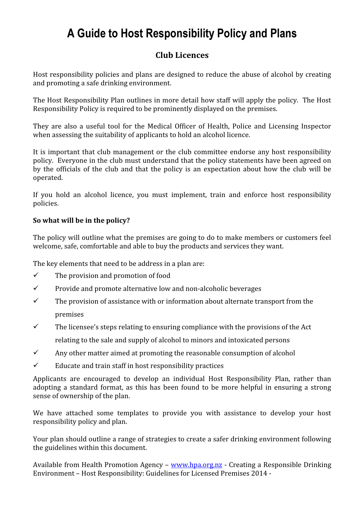## A Guide to Host Responsibility Policy and Plans

#### Club Licences

Host responsibility policies and plans are designed to reduce the abuse of alcohol by creating and promoting a safe drinking environment.

The Host Responsibility Plan outlines in more detail how staff will apply the policy. The Host Responsibility Policy is required to be prominently displayed on the premises.

They are also a useful tool for the Medical Officer of Health, Police and Licensing Inspector when assessing the suitability of applicants to hold an alcohol licence.

It is important that club management or the club committee endorse any host responsibility policy. Everyone in the club must understand that the policy statements have been agreed on by the officials of the club and that the policy is an expectation about how the club will be operated.

If you hold an alcohol licence, you must implement, train and enforce host responsibility policies.

#### So what will be in the policy?

The policy will outline what the premises are going to do to make members or customers feel welcome, safe, comfortable and able to buy the products and services they want.

The key elements that need to be address in a plan are:

- $\checkmark$  The provision and promotion of food
- $\checkmark$  Provide and promote alternative low and non-alcoholic beverages
- $\checkmark$  The provision of assistance with or information about alternate transport from the premises
- $\checkmark$  The licensee's steps relating to ensuring compliance with the provisions of the Act relating to the sale and supply of alcohol to minors and intoxicated persons
- $\checkmark$  Any other matter aimed at promoting the reasonable consumption of alcohol
- $\checkmark$  Educate and train staff in host responsibility practices

Applicants are encouraged to develop an individual Host Responsibility Plan, rather than adopting a standard format, as this has been found to be more helpful in ensuring a strong sense of ownership of the plan.

We have attached some templates to provide you with assistance to develop your host responsibility policy and plan.

Your plan should outline a range of strategies to create a safer drinking environment following the guidelines within this document.

Available from Health Promotion Agency – www.hpa.org.nz - Creating a Responsible Drinking Environment – Host Responsibility: Guidelines for Licensed Premises 2014 -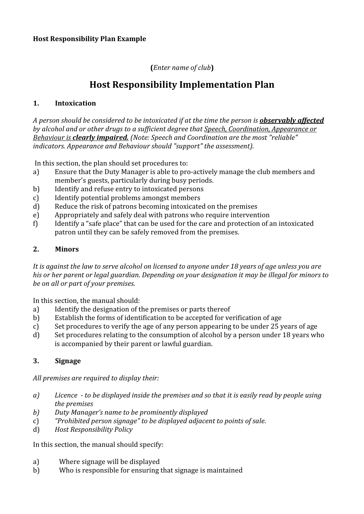#### (Enter name of club)

### Host Responsibility Implementation Plan

#### 1. Intoxication

A person should be considered to be intoxicated if at the time the person is **observably affected** by alcohol and or other drugs to a sufficient degree that Speech, Coordination, Appearance or Behaviour is **clearly impaired.** (Note: Speech and Coordination are the most "reliable" indicators. Appearance and Behaviour should "support" the assessment).

In this section, the plan should set procedures to:

- a) Ensure that the Duty Manager is able to pro-actively manage the club members and member's guests, particularly during busy periods.
- b) Identify and refuse entry to intoxicated persons
- c) Identify potential problems amongst members
- d) Reduce the risk of patrons becoming intoxicated on the premises
- e) Appropriately and safely deal with patrons who require intervention
- f) Identify a "safe place" that can be used for the care and protection of an intoxicated patron until they can be safely removed from the premises.

#### 2. Minors

It is against the law to serve alcohol on licensed to anyone under 18 years of age unless you are his or her parent or legal guardian. Depending on your designation it may be illegal for minors to be on all or part of your premises.

In this section, the manual should:

- a) Identify the designation of the premises or parts thereof
- b) Establish the forms of identification to be accepted for verification of age
- c) Set procedures to verify the age of any person appearing to be under 25 years of age
- d) Set procedures relating to the consumption of alcohol by a person under 18 years who is accompanied by their parent or lawful guardian.

#### 3. Signage

All premises are required to display their:

- a) Licence to be displayed inside the premises and so that it is easily read by people using the premises
- b) Duty Manager's name to be prominently displayed
- c) "Prohibited person signage" to be displayed adjacent to points of sale.
- d) Host Responsibility Policy

In this section, the manual should specify:

- a) Where signage will be displayed
- b) Who is responsible for ensuring that signage is maintained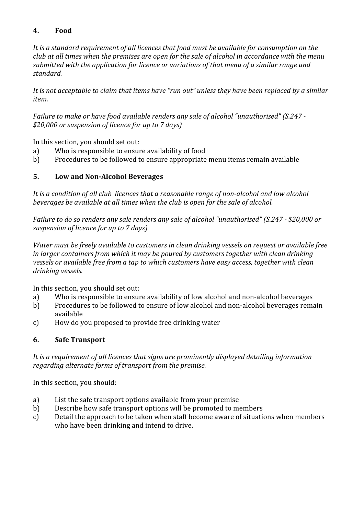#### 4. Food

It is a standard requirement of all licences that food must be available for consumption on the club at all times when the premises are open for the sale of alcohol in accordance with the menu submitted with the application for licence or variations of that menu of a similar range and standard.

It is not acceptable to claim that items have "run out" unless they have been replaced by a similar item.

Failure to make or have food available renders any sale of alcohol "unauthorised" (S.247 - \$20,000 or suspension of licence for up to 7 days)

In this section, you should set out:

- a) Who is responsible to ensure availability of food
- b) Procedures to be followed to ensure appropriate menu items remain available

#### 5. Low and Non-Alcohol Beverages

It is a condition of all club licences that a reasonable range of non-alcohol and low alcohol beverages be available at all times when the club is open for the sale of alcohol.

Failure to do so renders any sale renders any sale of alcohol "unauthorised" (S.247 - \$20,000 or suspension of licence for up to 7 days)

Water must be freely available to customers in clean drinking vessels on request or available free in larger containers from which it may be poured by customers together with clean drinking vessels or available free from a tap to which customers have easy access, together with clean drinking vessels.

In this section, you should set out:

- a) Who is responsible to ensure availability of low alcohol and non-alcohol beverages
- b) Procedures to be followed to ensure of low alcohol and non-alcohol beverages remain available
- c) How do you proposed to provide free drinking water

#### 6. Safe Transport

It is a requirement of all licences that signs are prominently displayed detailing information regarding alternate forms of transport from the premise.

In this section, you should:

- a) List the safe transport options available from your premise
- b) Describe how safe transport options will be promoted to members
- c) Detail the approach to be taken when staff become aware of situations when members who have been drinking and intend to drive.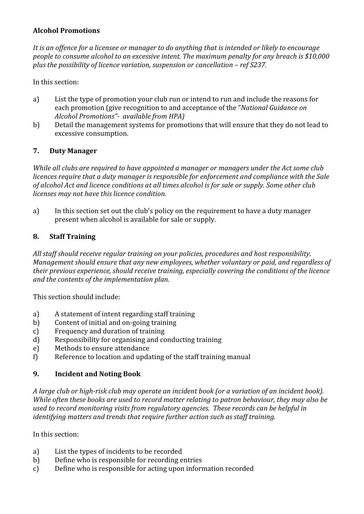#### Alcohol Promotions

It is an offence for a licensee or manager to do anything that is intended or likely to encourage people to consume alcohol to an excessive intent. The maximum penalty for any breach is \$10,000 plus the possibility of licence variation, suspension or cancellation – ref S237.

In this section:

- a) List the type of promotion your club run or intend to run and include the reasons for each promotion (give recognition to and acceptance of the "National Guidance on Alcohol Promotions"- available from HPA)
- b) Detail the management systems for promotions that will ensure that they do not lead to excessive consumption.

#### 7. Duty Manager

While all clubs are required to have appointed a manager or managers under the Act some club licences require that a duty manager is responsible for enforcement and compliance with the Sale of alcohol Act and licence conditions at all times alcohol is for sale or supply. Some other club licenses may not have this licence condition.

a) In this section set out the club's policy on the requirement to have a duty manager present when alcohol is available for sale or supply.

#### 8. Staff Training

All staff should receive regular training on your policies, procedures and host responsibility. Management should ensure that any new employees, whether voluntary or paid, and regardless of their previous experience, should receive training, especially covering the conditions of the licence and the contents of the implementation plan.

This section should include:

- a) A statement of intent regarding staff training
- b) Content of initial and on-going training
- c) Frequency and duration of training
- d) Responsibility for organising and conducting training
- e) Methods to ensure attendance
- f) Reference to location and updating of the staff training manual

#### 9. Incident and Noting Book

A large club or high-risk club may operate an incident book (or a variation of an incident book). While often these books are used to record matter relating to patron behaviour, they may also be used to record monitoring visits from regulatory agencies. These records can be helpful in identifying matters and trends that require further action such as staff training.

In this section:

- a) List the types of incidents to be recorded
- b) Define who is responsible for recording entries
- c) Define who is responsible for acting upon information recorded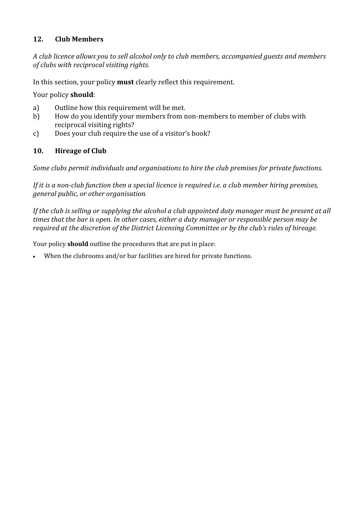#### 12. Club Members

A club licence allows you to sell alcohol only to club members, accompanied guests and members of clubs with reciprocal visiting rights.

In this section, your policy **must** clearly reflect this requirement.

Your policy should:

- a) Outline how this requirement will be met.
- b) How do you identify your members from non-members to member of clubs with reciprocal visiting rights?
- c) Does your club require the use of a visitor's book?

#### 10. Hireage of Club

Some clubs permit individuals and organisations to hire the club premises for private functions.

If it is a non-club function then a special licence is required *i.e.* a club member hiring premises, general public, or other organisation.

If the club is selling or supplying the alcohol a club appointed duty manager must be present at all times that the bar is open. In other cases, either a duty manager or responsible person may be required at the discretion of the District Licensing Committee or by the club's rules of hireage.

Your policy **should** outline the procedures that are put in place:

When the clubrooms and/or bar facilities are hired for private functions.